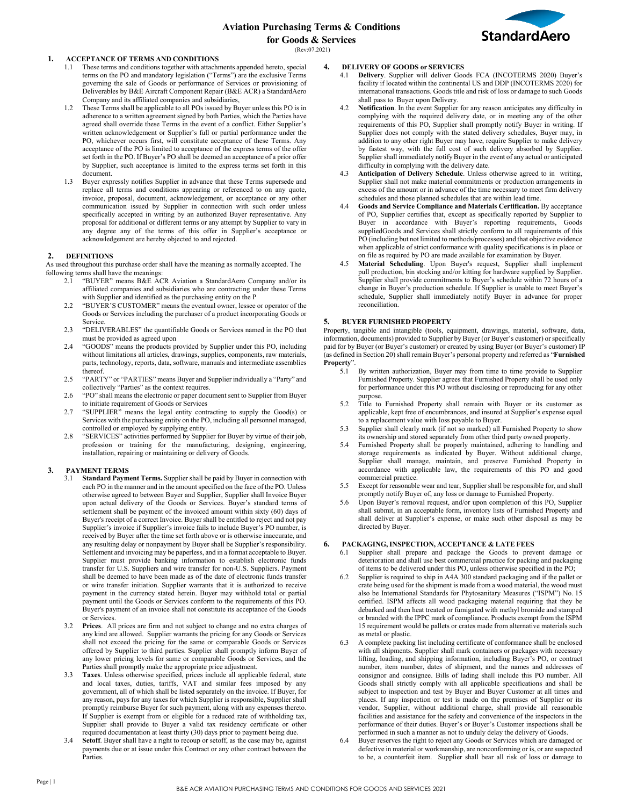# **Aviation Purchasing Terms & Conditions for Goods & Services**



(Rev:07.2021)

### **1. ACCEPTANCE OF TERMS AND CONDITIONS**

- 1.1 These terms and conditions together with attachments appended hereto, special terms on the PO and mandatory legislation ("Terms") are the exclusive Terms governing the sale of Goods or performance of Services or provisioning of Deliverables by B&E Aircraft Component Repair (B&E ACR) a StandardAero Company and its affiliated companies and subsidiaries,
- 1.2 These Terms shall be applicable to all POs issued by Buyer unless this PO is in adherence to a written agreement signed by both Parties, which the Parties have agreed shall override these Terms in the event of a conflict. Either Supplier's written acknowledgement or Supplier's full or partial performance under the PO, whichever occurs first, will constitute acceptance of these Terms. Any acceptance of the PO is limited to acceptance of the express terms of the offer set forth in the PO. If Buyer's PO shall be deemed an acceptance of a prior offer by Supplier, such acceptance is limited to the express terms set forth in this document.
- 1.3 Buyer expressly notifies Supplier in advance that these Terms supersede and replace all terms and conditions appearing or referenced to on any quote, invoice, proposal, document, acknowledgement, or acceptance or any other communication issued by Supplier in connection with such order unless specifically accepted in writing by an authorized Buyer representative. Any proposal for additional or different terms or any attempt by Supplier to vary in any degree any of the terms of this offer in Supplier's acceptance or acknowledgement are hereby objected to and rejected.

#### **2. DEFINITIONS**

As used throughout this purchase order shall have the meaning as normally accepted. The following terms shall have the meanings:

- 2.1 "BUYER" means B&E ACR Aviation a StandardAero Company and/or its affiliated companies and subsidiaries who are contracting under these Terms with Supplier and identified as the purchasing entity on the P
- 2.2 "BUYER'S CUSTOMER" means the eventual owner, lessee or operator of the Goods or Services including the purchaser of a product incorporating Goods or Service.
- 2.3 "DELIVERABLES" the quantifiable Goods or Services named in the PO that must be provided as agreed upon
- 2.4 "GOODS" means the products provided by Supplier under this PO, including without limitations all articles, drawings, supplies, components, raw materials, parts, technology, reports, data, software, manuals and intermediate assemblies thereof.
- 2.5 "PARTY" or "PARTIES" means Buyer and Supplier individually a "Party" and collectively "Parties" as the context requires.
- 2.6 "PO" shall means the electronic or paper document sent to Supplier from Buyer to initiate requirement of Goods or Services
- 2.7 "SUPPLIER" means the legal entity contracting to supply the Good(s) or Services with the purchasing entity on the PO, including all personnel managed, controlled or employed by supplying entity.
- 2.8 "SERVICES" activities performed by Supplier for Buyer by virtue of their job, profession or training for the manufacturing, designing, engineering, installation, repairing or maintaining or delivery of Goods.

#### **3. PAYMENT TERMS**

- **Standard Payment Terms.** Supplier shall be paid by Buyer in connection with each PO in the manner and in the amount specified on the face of the PO. Unless otherwise agreed to between Buyer and Supplier, Supplier shall Invoice Buyer upon actual delivery of the Goods or Services. Buyer's standard terms of settlement shall be payment of the invoiced amount within sixty (60) days of Buyer's receipt of a correct Invoice. Buyer shall be entitled to reject and not pay Supplier's invoice if Supplier's invoice fails to include Buyer's PO number, is received by Buyer after the time set forth above or is otherwise inaccurate, and any resulting delay or nonpayment by Buyer shall be Supplier's responsibility. Settlement and invoicing may be paperless, and in a format acceptable to Buyer. Supplier must provide banking information to establish electronic funds transfer for U.S. Suppliers and wire transfer for non-U.S. Suppliers. Payment shall be deemed to have been made as of the date of electronic funds transfer or wire transfer initiation. Supplier warrants that it is authorized to receive payment in the currency stated herein. Buyer may withhold total or partial payment until the Goods or Services conform to the requirements of this PO. Buyer's payment of an invoice shall not constitute its acceptance of the Goods or Services.
- 3.2 **Prices**. All prices are firm and not subject to change and no extra charges of any kind are allowed. Supplier warrants the pricing for any Goods or Services shall not exceed the pricing for the same or comparable Goods or Services offered by Supplier to third parties. Supplier shall promptly inform Buyer of any lower pricing levels for same or comparable Goods or Services, and the Parties shall promptly make the appropriate price adjustment.
- 3.3 **Taxes**. Unless otherwise specified, prices include all applicable federal, state and local taxes, duties, tariffs, VAT and similar fees imposed by any government, all of which shall be listed separately on the invoice. If Buyer, for any reason, pays for any taxes for which Supplier is responsible, Supplier shall promptly reimburse Buyer for such payment, along with any expenses thereto. If Supplier is exempt from or eligible for a reduced rate of withholding tax, Supplier shall provide to Buyer a valid tax residency certificate or other required documentation at least thirty (30) days prior to payment being due.
- 3.4 **Setoff**. Buyer shall have a right to recoup or setoff, as the case may be, against payments due or at issue under this Contract or any other contract between the Parties.

#### **4. DELIVERY OF GOODS or SERVICES**

- 4.1 **Delivery**. Supplier will deliver Goods FCA (INCOTERMS 2020) Buyer's facility if located within the continental US and DDP (INCOTERMS 2020) for international transactions. Goods title and risk of loss or damage to such Goods shall pass to Buyer upon Delivery.
- 4.2 **Notification**. In the event Supplier for any reason anticipates any difficulty in complying with the required delivery date, or in meeting any of the other requirements of this PO, Supplier shall promptly notify Buyer in writing. If Supplier does not comply with the stated delivery schedules, Buyer may, in addition to any other right Buyer may have, require Supplier to make delivery by fastest way, with the full cost of such delivery absorbed by Supplier. Supplier shall immediately notify Buyer in the event of any actual or anticipated difficulty in complying with the delivery date.
- 4.3 **Anticipation of Delivery Schedule**. Unless otherwise agreed to in writing, Supplier shall not make material commitments or production arrangements in excess of the amount or in advance of the time necessary to meet firm delivery schedules and those planned schedules that are within lead time.
- 4.4 **Goods and Service Compliance and Materials Certification.** By acceptance of PO, Supplier certifies that, except as specifically reported by Supplier to Buyer in accordance with Buyer's reporting requirements, Goods suppliedGoods and Services shall strictly conform to all requirements of this PO (including but not limited to methods/processes) and that objective evidence when applicable of strict conformance with quality specifications is in place or on file as required by PO are made available for examination by Buyer.
- 4.5 **Material Scheduling**. Upon Buyer's request, Supplier shall implement pull production, bin stocking and/or kitting for hardware supplied by Supplier. Supplier shall provide commitments to Buyer's schedule within 72 hours of a change in Buyer's production schedule. If Supplier is unable to meet Buyer's schedule, Supplier shall immediately notify Buyer in advance for proper reconciliation.

#### **5. BUYER FURNISHED PROPERTY**

Property, tangible and intangible (tools, equipment, drawings, material, software, data, information, documents) provided to Supplier by Buyer (or Buyer's customer) or specifically paid for by Buyer (or Buyer's customer) or created by using Buyer (or Buyer's customer) IP (as defined in Section 20) shall remain Buyer's personal property and referred as "**Furnished Property**".

- 5.1 By written authorization, Buyer may from time to time provide to Supplier Furnished Property. Supplier agrees that Furnished Property shall be used only for performance under this PO without disclosing or reproducing for any other purpose.
- 5.2 Title to Furnished Property shall remain with Buyer or its customer as applicable, kept free of encumbrances, and insured at Supplier's expense equal to a replacement value with loss payable to Buyer.
- 5.3 Supplier shall clearly mark (if not so marked) all Furnished Property to show its ownership and stored separately from other third party owned property.
- 5.4 Furnished Property shall be properly maintained, adhering to handling and storage requirements as indicated by Buyer. Without additional charge, Supplier shall manage, maintain, and preserve Furnished Property in accordance with applicable law, the requirements of this PO and good commercial practice.
- Except for reasonable wear and tear, Supplier shall be responsible for, and shall promptly notify Buyer of, any loss or damage to Furnished Property.
- Upon Buyer's removal request, and/or upon completion of this PO, Supplier shall submit, in an acceptable form, inventory lists of Furnished Property and shall deliver at Supplier's expense, or make such other disposal as may be directed by Buyer.

# **6. PACKAGING, INSPECTION, ACCEPTANCE & LATE FEES**

- 6.1 Supplier shall prepare and package the Goods to prevent damage or deterioration and shall use best commercial practice for packing and packaging of items to be delivered under this PO, unless otherwise specified in the PO;
- 6.2 Supplier is required to ship in A4A 300 standard packaging and if the pallet or crate being used for the shipment is made from a wood material, the wood must also be International Standards for Phytosanitary Measures ("ISPM") No. 15 certified. ISPM affects all wood packaging material requiring that they be debarked and then heat treated or fumigated with methyl bromide and stamped or branded with the IPPC mark of compliance. Products exempt from the ISPM 15 requirement would be pallets or crates made from alternative materials such as metal or plastic.
- 6.3 A complete packing list including certificate of conformance shall be enclosed with all shipments. Supplier shall mark containers or packages with necessary lifting, loading, and shipping information, including Buyer's PO, or contract number, item number, dates of shipment, and the names and addresses of consignor and consignee. Bills of lading shall include this PO number. All Goods shall strictly comply with all applicable specifications and shall be subject to inspection and test by Buyer and Buyer Customer at all times and places. If any inspection or test is made on the premises of Supplier or its vendor, Supplier, without additional charge, shall provide all reasonable facilities and assistance for the safety and convenience of the inspectors in the performance of their duties. Buyer's or Buyer's Customer inspections shall be performed in such a manner as not to unduly delay the delivery of Goods.
- 6.4 Buyer reserves the right to reject any Goods or Services which are damaged or defective in material or workmanship, are nonconforming or is, or are suspected to be, a counterfeit item. Supplier shall bear all risk of loss or damage to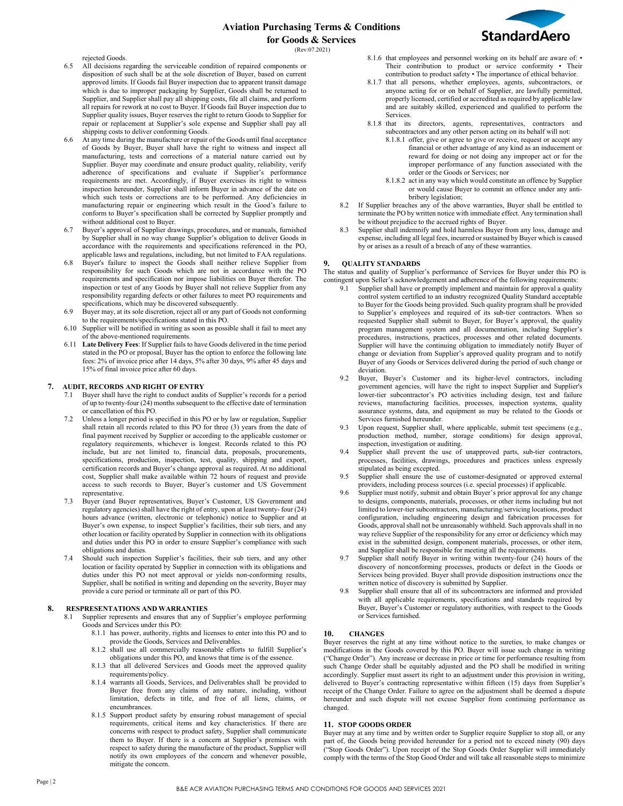# **Aviation Purchasing Terms & Conditions for Goods & Services**



(Rev:07.2021)

rejected Goods.

- 6.5 All decisions regarding the serviceable condition of repaired components or disposition of such shall be at the sole discretion of Buyer, based on current approved limits. If Goods fail Buyer inspection due to apparent transit damage which is due to improper packaging by Supplier, Goods shall be returned to Supplier, and Supplier shall pay all shipping costs, file all claims, and perform all repairs for rework at no cost to Buyer. If Goods fail Buyer inspection due to Supplier quality issues, Buyer reserves the right to return Goods to Supplier for repair or replacement at Supplier's sole expense and Supplier shall pay all shipping costs to deliver conforming Goods.
- At any time during the manufacture or repair of the Goods until final acceptance of Goods by Buyer, Buyer shall have the right to witness and inspect all manufacturing, tests and corrections of a material nature carried out by Supplier. Buyer may coordinate and ensure product quality, reliability, verify adherence of specifications and evaluate if Supplier's performance requirements are met. Accordingly, if Buyer exercises its right to witness inspection hereunder, Supplier shall inform Buyer in advance of the date on which such tests or corrections are to be performed. Any deficiencies in manufacturing repair or engineering which result in the Good's failure to conform to Buyer's specification shall be corrected by Supplier promptly and without additional cost to Buyer.
- 6.7 Buyer's approval of Supplier drawings, procedures, and or manuals, furnished by Supplier shall in no way change Supplier's obligation to deliver Goods in accordance with the requirements and specifications referenced in the PO, applicable laws and regulations, including, but not limited to FAA regulations.
- 6.8 Buyer's failure to inspect the Goods shall neither relieve Supplier from responsibility for such Goods which are not in accordance with the PO requirements and specification nor impose liabilities on Buyer therefor. The inspection or test of any Goods by Buyer shall not relieve Supplier from any responsibility regarding defects or other failures to meet PO requirements and specifications, which may be discovered subsequently.
- 6.9 Buyer may, at its sole discretion, reject all or any part of Goods not conforming to the requirements/specifications stated in this PO.
- 6.10 Supplier will be notified in writing as soon as possible shall it fail to meet any of the above-mentioned requirements.
- 6.11 **Late Delivery Fees**: If Supplier fails to have Goods delivered in the time period stated in the PO or proposal, Buyer has the option to enforce the following late fees: 2% of invoice price after 14 days, 5% after 30 days, 9% after 45 days and 15% of final invoice price after 60 days.

### **7. AUDIT, RECORDS AND RIGHT OFENTRY**

- 7.1 Buyer shall have the right to conduct audits of Supplier's records for a period of up to twenty-four (24) months subsequent to the effective date of termination or cancellation of this PO.
- Unless a longer period is specified in this PO or by law or regulation, Supplier shall retain all records related to this PO for three (3) years from the date of final payment received by Supplier or according to the applicable customer or regulatory requirements, whichever is longest. Records related to this PO include, but are not limited to, financial data, proposals, procurements, specifications, production, inspection, test, quality, shipping and export, certification records and Buyer's change approval as required. At no additional cost, Supplier shall make available within 72 hours of request and provide access to such records to Buyer, Buyer's customer and US Government representative.
- 7.3 Buyer (and Buyer representatives, Buyer's Customer, US Government and regulatory agencies) shall have the right of entry, upon at least twenty- four (24) hours advance (written, electronic or telephonic) notice to Supplier and at Buyer's own expense, to inspect Supplier's facilities, their sub tiers, and any other location or facility operated by Supplier in connection with its obligations and duties under this PO in order to ensure Supplier's compliance with such obligations and duties.
- 7.4 Should such inspection Supplier's facilities, their sub tiers, and any other location or facility operated by Supplier in connection with its obligations and duties under this PO not meet approval or yields non-conforming results, Supplier, shall be notified in writing and depending on the severity, Buyer may provide a cure period or terminate all or part of this PO.

#### **8. RESPRESENTATIONS AND WARRANTIES**

- Supplier represents and ensures that any of Supplier's employee performing Goods and Services under this PO:
	- 8.1.1 has power, authority, rights and licenses to enter into this PO and to provide the Goods, Services and Deliverables.
	- 8.1.2 shall use all commercially reasonable efforts to fulfill Supplier's obligations under this PO, and knows that time is of the essence.
	- 8.1.3 that all delivered Services and Goods meet the approved quality requirements/policy.
	- 8.1.4 warrants all Goods, Services, and Deliverables shall be provided to Buyer free from any claims of any nature, including, without limitation, defects in title, and free of all liens, claims, or encumbrances.
	- 8.1.5 Support product safety by ensuring robust management of special requirements, critical items and key characteristics. If there are concerns with respect to product safety, Supplier shall communicate them to Buyer. If there is a concern at Supplier's premises with respect to safety during the manufacture of the product, Supplier will notify its own employees of the concern and whenever possible, mitigate the concern.
- 8.1.6 that employees and personnel working on its behalf are aware of: Their contribution to product or service conformity • Their contribution to product safety • The importance of ethical behavior.
- 8.1.7 that all persons, whether employees, agents, subcontractors, or anyone acting for or on behalf of Supplier, are lawfully permitted, properly licensed, certified or accredited as required by applicable law and are suitably skilled, experienced and qualified to perform the Services.
- 8.1.8 that its directors, agents, representatives, contractors and subcontractors and any other person acting on its behalf will not:
	- 8.1.8.1 offer, give or agree to give or receive, request or accept any financial or other advantage of any kind as an inducement or reward for doing or not doing any improper act or for the improper performance of any function associated with the order or the Goods or Services; nor
	- 8.1.8.2 act in any way which would constitute an offence by Supplier or would cause Buyer to commit an offence under any antibribery legislation;
- 8.2 If Supplier breaches any of the above warranties, Buyer shall be entitled to terminate the PO by written notice with immediate effect. Any termination shall be without prejudice to the accrued rights of Buyer.
- 8.3 Supplier shall indemnify and hold harmless Buyer from any loss, damage and expense, including all legal fees, incurred or sustained by Buyer which is caused by or arises as a result of a breach of any of these warranties.

#### **9. QUALITY STANDARDS**

The status and quality of Supplier's performance of Services for Buyer under this PO is contingent upon Seller's acknowledgement and adherence of the following requirements:

- 9.1 Supplier shall have or promptly implement and maintain for approval a quality control system certified to an industry recognized Quality Standard acceptable to Buyer for the Goods being provided. Such quality program shall be provided to Supplier's employees and required of its sub-tier contractors. When so requested Supplier shall submit to Buyer, for Buyer's approval, the quality program management system and all documentation, including Supplier's procedures, instructions, practices, processes and other related documents. Supplier will have the continuing obligation to immediately notify Buyer of change or deviation from Supplier's approved quality program and to notify Buyer of any Goods or Services delivered during the period of such change or deviation.
- 9.2 Buyer, Buyer's Customer and its higher-level contractors, including government agencies, will have the right to inspect Supplier and Supplier's lower-tier subcontractor's PO activities including design, test and failure reviews, manufacturing facilities, processes, inspection systems, quality assurance systems, data, and equipment as may be related to the Goods or Services furnished hereunder.
- 9.3 Upon request, Supplier shall, where applicable, submit test specimens (e.g., production method, number, storage conditions) for design approval, inspection, investigation or auditing.
- 9.4 Supplier shall prevent the use of unapproved parts, sub-tier contractors, processes, facilities, drawings, procedures and practices unless expressly stipulated as being excepted.
- 9.5 Supplier shall ensure the use of customer-designated or approved external providers, including process sources (i.e. special processes) if applicable.
- 9.6 Supplier must notify, submit and obtain Buyer's prior approval for any change to designs, components, materials, processes, or other items including but not limited to lower-tier subcontractors, manufacturing/servicing locations, product configuration, including engineering design and fabrication processes for Goods, approval shall not be unreasonably withheld. Such approvals shall in no way relieve Supplier of the responsibility for any error or deficiency which may exist in the submitted design, component materials, processes, or other item, and Supplier shall be responsible for meeting all the requirements.
- Supplier shall notify Buyer in writing within twenty-four (24) hours of the discovery of nonconforming processes, products or defect in the Goods or Services being provided. Buyer shall provide disposition instructions once the written notice of discovery is submitted by Supplier.
- Supplier shall ensure that all of its subcontractors are informed and provided with all applicable requirements, specifications and standards required by Buyer, Buyer's Customer or regulatory authorities, with respect to the Goods or Services furnished.

### **10. CHANGES**

Buyer reserves the right at any time without notice to the sureties, to make changes or modifications in the Goods covered by this PO. Buyer will issue such change in writing ("Change Order"). Any increase or decrease in price or time for performance resulting from such Change Order shall be equitably adjusted and the PO shall be modified in writing accordingly. Supplier must assert its right to an adjustment under this provision in writing, delivered to Buyer's contracting representative within fifteen (15) days from Supplier's receipt of the Change Order. Failure to agree on the adjustment shall be deemed a dispute hereunder and such dispute will not excuse Supplier from continuing performance as changed.

### **11. STOP GOODS ORDER**

Buyer may at any time and by written order to Supplier require Supplier to stop all, or any part of, the Goods being provided hereunder for a period not to exceed ninety (90) days ("Stop Goods Order"). Upon receipt of the Stop Goods Order Supplier will immediately comply with the terms of the Stop Good Order and will take all reasonable steps to minimize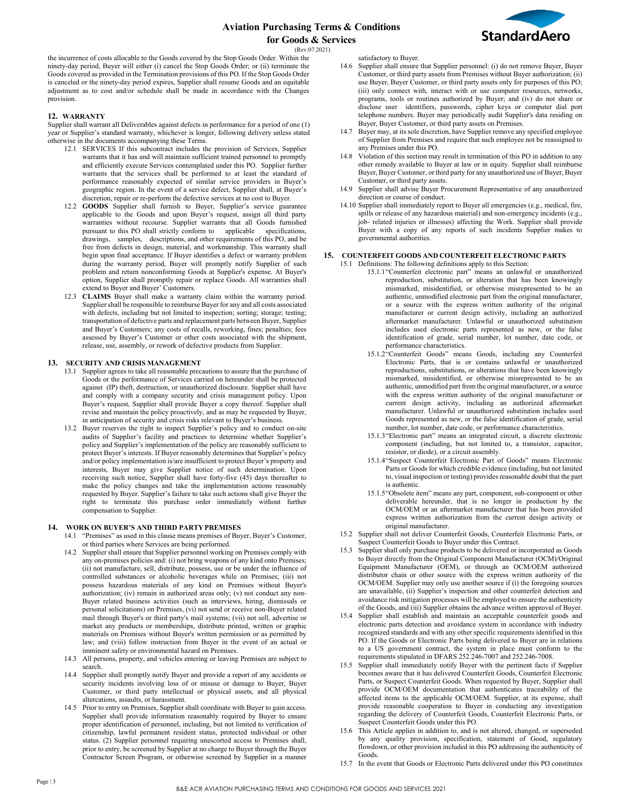

(Rev:07.2021)

the incurrence of costs allocable to the Goods covered by the Stop Goods Order. Within the ninety-day period, Buyer will either (i) cancel the Stop Goods Order; or (ii) terminate the Goods covered as provided in the Termination provisions of this PO. If the Stop Goods Order is canceled or the ninety-day period expires, Supplier shall resume Goods and an equitable adjustment as to cost and/or schedule shall be made in accordance with the Changes provision.

#### **12. WARRANTY**

Supplier shall warrant all Deliverables against defects in performance for a period of one (1) year or Supplier's standard warranty, whichever is longer, following delivery unless stated otherwise in the documents accompanying these Terms.

- 12.1 SERVICES If this subcontract includes the provision of Services, Supplier warrants that it has and will maintain sufficient trained personnel to promptly and efficiently execute Services contemplated under this PO. Supplier further warrants that the services shall be performed to at least the standard of performance reasonably expected of similar service providers in Buyer's geographic region. In the event of a service defect, Supplier shall, at Buyer's discretion, repair or re-perform the defective services at no cost to Buyer.
- 12.2 **GOODS** Supplier shall furnish to Buyer, Supplier's service guarantee applicable to the Goods and upon Buyer's request, assign all third party warranties without recourse. Supplier warrants that all Goods furnished pursuant to this PO shall strictly conform to applicable specifications, drawings, samples, descriptions, and other requirements of this PO, and be free from defects in design, material, and workmanship. This warranty shall begin upon final acceptance. If Buyer identifies a defect or warranty problem during the warranty period, Buyer will promptly notify Supplier of such problem and return nonconforming Goods at Supplier's expense. At Buyer's option, Supplier shall promptly repair or replace Goods. All warranties shall extend to Buyer and Buyer' Customers.
- 12.3 **CLAIMS** Buyer shall make a warranty claim within the warranty period. Supplier shall be responsible to reimburse Buyer for any and all costs associated with defects, including but not limited to inspection; sorting; storage; testing; transportation of defective parts and replacement parts between Buyer, Supplier and Buyer's Customers; any costs of recalls, reworking, fines; penalties; fees assessed by Buyer's Customer or other costs associated with the shipment, release, use, assembly, or rework of defective products from Supplier.

#### **13. SECURITY AND CRISIS MANAGEMENT**

- 13.1 Supplier agrees to take all reasonable precautions to assure that the purchase of Goods or the performance of Services carried on hereunder shall be protected against (IP) theft, destruction, or unauthorized disclosure. Supplier shall have and comply with a company security and crisis management policy. Upon Buyer's request, Supplier shall provide Buyer a copy thereof. Supplier shall revise and maintain the policy proactively, and as may be requested by Buyer, in anticipation of security and crisis risks relevant to Buyer's business.
- 13.2 Buyer reserves the right to inspect Supplier's policy and to conduct on-site audits of Supplier's facility and practices to determine whether Supplier's policy and Supplier's implementation of the policy are reasonably sufficient to protect Buyer's interests. If Buyer reasonably determines that Supplier's policy and/or policy implementation is/are insufficient to protect Buyer's property and interests, Buyer may give Supplier notice of such determination. Upon receiving such notice, Supplier shall have forty-five (45) days thereafter to make the policy changes and take the implementation actions reasonably requested by Buyer. Supplier's failure to take such actions shall give Buyer the right to terminate this purchase order immediately without further compensation to Supplier.

#### **14. WORK ON BUYER'S AND THIRD PARTYPREMISES**

- 14.1 "Premises" as used in this clause means premises of Buyer, Buyer's Customer, or third parties where Services are being performed.
- 14.2 Supplier shall ensure that Supplier personnel working on Premises comply with any on-premises policies and: (i) not bring weapons of any kind onto Premises; (ii) not manufacture, sell, distribute, possess, use or be under the influence of controlled substances or alcoholic beverages while on Premises; (iii) not possess hazardous materials of any kind on Premises without Buyer's authorization; (iv) remain in authorized areas only; (v) not conduct any non-Buyer related business activities (such as interviews, hiring, dismissals or personal solicitations) on Premises, (vi) not send or receive non-Buyer related mail through Buyer's or third party's mail systems; (vii) not sell, advertise or market any products or memberships, distribute printed, written or graphic materials on Premises without Buyer's written permission or as permitted by law; and (viii) follow instruction from Buyer in the event of an actual or imminent safety or environmental hazard on Premises.
- 14.3 All persons, property, and vehicles entering or leaving Premises are subject to search.
- 14.4 Supplier shall promptly notify Buyer and provide a report of any accidents or security incidents involving loss of or misuse or damage to Buyer, Buyer Customer, or third party intellectual or physical assets, and all physical altercations, assaults, or harassment.
- 14.5 Prior to entry on Premises, Supplier shall coordinate with Buyer to gain access. Supplier shall provide information reasonably required by Buyer to ensure proper identification of personnel, including, but not limited to verification of citizenship, lawful permanent resident status, protected individual or other status. (2) Supplier personnel requiring unescorted access to Premises shall, prior to entry, be screened by Supplier at no charge to Buyer through the Buyer Contractor Screen Program, or otherwise screened by Supplier in a manner

satisfactory to Buyer.

- 14.6 Supplier shall ensure that Supplier personnel: (i) do not remove Buyer, Buyer Customer, or third party assets from Premises without Buyer authorization; (ii) use Buyer, Buyer Customer, or third party assets only for purposes of this PO; (iii) only connect with, interact with or use computer resources, networks, programs, tools or routines authorized by Buyer; and (iv) do not share or disclose user identifiers, passwords, cipher keys or computer dial port telephone numbers. Buyer may periodically audit Supplier's data residing on Buyer, Buyer Customer, or third party assets on Premises.
- 14.7 Buyer may, at its sole discretion, have Supplier remove any specified employee of Supplier from Premises and require that such employee not be reassigned to any Premises under this PO.
- 14.8 Violation of this section may result in termination of this PO in addition to any other remedy available to Buyer at law or in equity. Supplier shall reimburse Buyer, Buyer Customer, or third party for any unauthorized use of Buyer, Buyer Customer, or third party assets.
- 14.9 Supplier shall advise Buyer Procurement Representative of any unauthorized direction or course of conduct.
- 14.10 Supplier shall immediately report to Buyer all emergencies (e.g., medical, fire, spills or release of any hazardous material) and non-emergency incidents (e.g., job- related injuries or illnesses) affecting the Work. Supplier shall provide Buyer with a copy of any reports of such incidents Supplier makes to governmental authorities.

### **15. COUNTERFEIT GOODS AND COUNTERFEIT ELECTRONIC PARTS**

- 15.1 Definitions: The following definitions apply to this Section: 15.1.1"Counterfeit electronic part" means an unlawful or unauthorized reproduction, substitution, or alteration that has been knowingly mismarked, misidentified, or otherwise misrepresented to be an authentic, unmodified electronic part from the original manufacturer, or a source with the express written authority of the original manufacturer or current design activity, including an authorized aftermarket manufacturer. Unlawful or unauthorized substitution includes used electronic parts represented as new, or the false identification of grade, serial number, lot number, date code, or performance characteristics.
	- 15.1.2"Counterfeit Goods" means Goods, including any Counterfeit Electronic Parts, that is or contains unlawful or unauthorized reproductions, substitutions, or alterations that have been knowingly mismarked, misidentified, or otherwise misrepresented to be an authentic, unmodified part from the original manufacturer, or a source with the express written authority of the original manufacturer or current design activity, including an authorized aftermarket manufacturer. Unlawful or unauthorized substitution includes used Goods represented as new, or the false identification of grade, serial number, lot number, date code, or performance characteristics.
	- 15.1.3"Electronic part" means an integrated circuit, a discrete electronic component (including, but not limited to, a transistor, capacitor, resistor, or diode), or a circuit assembly.
	- 15.1.4"Suspect Counterfeit Electronic Part of Goods" means Electronic Parts or Goods for which credible evidence (including, but not limited to, visual inspection or testing) provides reasonable doubt that the part is authentic.
	- 15.1.5"Obsolete item" means any part, component, sub-component or other deliverable hereunder, that is no longer in production by the OCM/OEM or an aftermarket manufacturer that has been provided express written authorization from the current design activity or original manufacturer.
- 15.2 Supplier shall not deliver Counterfeit Goods, Counterfeit Electronic Parts, or Suspect Counterfeit Goods to Buyer under this Contract.
- 15.3 Supplier shall only purchase products to be delivered or incorporated as Goods to Buyer directly from the Original Component Manufacturer (OCM)/Original Equipment Manufacturer (OEM), or through an OCM/OEM authorized distributor chain or other source with the express written authority of the OCM/OEM. Supplier may only use another source if (i) the foregoing sources are unavailable, (ii) Supplier's inspection and other counterfeit detection and avoidance risk mitigation processes will be employed to ensure the authenticity of the Goods, and (iii) Supplier obtains the advance written approval of Buyer.
- 15.4 Supplier shall establish and maintain an acceptable counterfeit goods and electronic parts detection and avoidance system in accordance with industry recognized standards and with any other specific requirements identified in this PO. If the Goods or Electronic Parts being delivered to Buyer are in relations to a US government contract, the system in place must conform to the requirements stipulated in DFARS 252.246-7007 and 252.246-7008.
- 15.5 Supplier shall immediately notify Buyer with the pertinent facts if Supplier becomes aware that it has delivered Counterfeit Goods, Counterfeit Electronic Parts, or Suspect Counterfeit Goods. When requested by Buyer, Supplier shall provide OCM/OEM documentation that authenticates traceability of the affected items to the applicable OCM/OEM. Supplier, at its expense, shall provide reasonable cooperation to Buyer in conducting any investigation regarding the delivery of Counterfeit Goods, Counterfeit Electronic Parts, or Suspect Counterfeit Goods under this PO.
- 15.6 This Article applies in addition to, and is not altered, changed, or superseded by any quality provision, specification, statement of Good, regulatory flowdown, or other provision included in this PO addressing the authenticity of Goods.
- 15.7 In the event that Goods or Electronic Parts delivered under this PO constitutes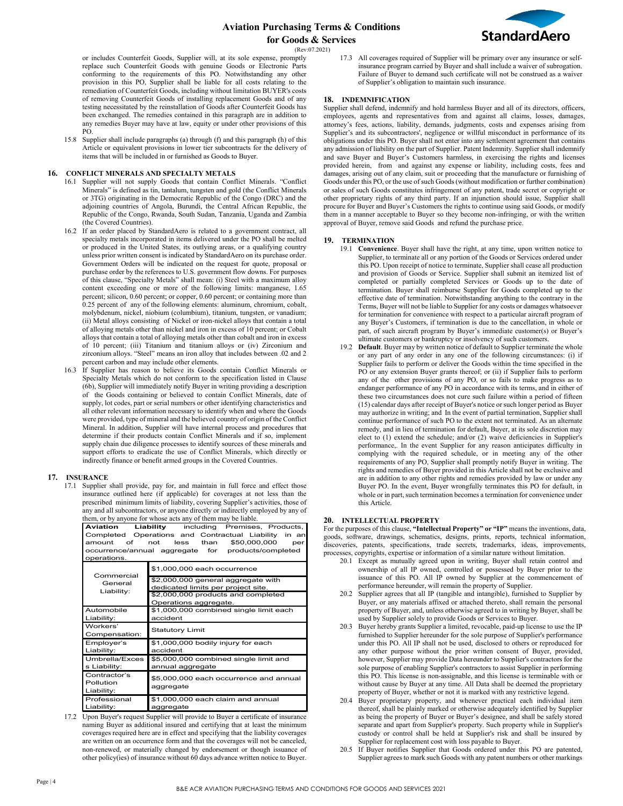

(Rev:07.2021)

or includes Counterfeit Goods, Supplier will, at its sole expense, promptly replace such Counterfeit Goods with genuine Goods or Electronic Parts conforming to the requirements of this PO. Notwithstanding any other provision in this PO, Supplier shall be liable for all costs relating to the remediation of Counterfeit Goods, including without limitation BUYER's costs of removing Counterfeit Goods of installing replacement Goods and of any testing necessitated by the reinstallation of Goods after Counterfeit Goods has been exchanged. The remedies contained in this paragraph are in addition to any remedies Buyer may have at law, equity or under other provisions of this PO.

15.8 Supplier shall include paragraphs (a) through (f) and this paragraph (h) of this Article or equivalent provisions in lower tier subcontracts for the delivery of items that will be included in or furnished as Goods to Buyer.

#### **16. CONFLICT MINERALS AND SPECIALTY METALS**

- 16.1 Supplier will not supply Goods that contain Conflict Minerals. "Conflict Minerals" is defined as tin, tantalum, tungsten and gold (the Conflict Minerals or 3TG) originating in the Democratic Republic of the Congo (DRC) and the adjoining countries of Angola, Burundi, the Central African Republic, the Republic of the Congo, Rwanda, South Sudan, Tanzania, Uganda and Zambia (the Covered Countries).
- 16.2 If an order placed by StandardAero is related to a government contract, all specialty metals incorporated in items delivered under the PO shall be melted or produced in the United States, its outlying areas, or a qualifying country unless prior written consent is indicated by StandardAero on its purchase order. Government Orders will be indicated on the request for quote, proposal or purchase order by the references to U.S. government flow downs. For purposes of this clause, "Specialty Metals" shall mean: (i) Steel with a maximum alloy content exceeding one or more of the following limits: manganese, 1.65 percent; silicon, 0.60 percent; or copper, 0.60 percent; or containing more than 0.25 percent of any of the following elements: aluminum, chromium, cobalt, molybdenum, nickel, niobium (columbium), titanium, tungsten, or vanadium; (ii) Metal alloys consisting of Nickel or iron-nickel alloys that contain a total of alloying metals other than nickel and iron in excess of 10 percent; or Cobalt alloys that contain a total of alloying metals other than cobalt and iron in excess of 10 percent; (iii) Titanium and titanium alloys or (iv) Zirconium and zirconium alloys. "Steel" means an iron alloy that includes between .02 and 2 percent carbon and may include other elements.
- 16.3 If Supplier has reason to believe its Goods contain Conflict Minerals or Specialty Metals which do not conform to the specification listed in Clause (6b), Supplier will immediately notify Buyer in writing providing a description of the Goods containing or believed to contain Conflict Minerals, date of supply, lot codes, part or serial numbers or other identifying characteristics and all other relevant information necessary to identify when and where the Goods were provided, type of mineral and the believed country of origin of the Conflict Mineral. In addition, Supplier will have internal process and procedures that determine if their products contain Conflict Minerals and if so, implement supply chain due diligence processes to identify sources of these minerals and support efforts to eradicate the use of Conflict Minerals, which directly or indirectly finance or benefit armed groups in the Covered Countries.

### **17. INSURANCE**

17.1 Supplier shall provide, pay for, and maintain in full force and effect those insurance outlined here (if applicable) for coverages at not less than the prescribed minimum limits of liability, covering Supplier's activities, those of any and all subcontractors, or anyone directly or indirectly employed by any of them, or by anyone for whose acts any of them may be liable.

| Aviation                                                                                                                                                                                      | <b>Liability</b> including Premises, Products,                           |
|-----------------------------------------------------------------------------------------------------------------------------------------------------------------------------------------------|--------------------------------------------------------------------------|
| Completed Operations and Contractual Liability<br>in an<br>\$50,000,000<br>less<br>than<br>amount<br>of<br>not<br>per<br>products/completed<br>occurrence/annual aggregate for<br>operations. |                                                                          |
| Commercial<br>General<br>Liability:                                                                                                                                                           | \$1,000,000 each occurrence                                              |
|                                                                                                                                                                                               | \$2,000,000 general aggregate with<br>dedicated limits per project site. |
|                                                                                                                                                                                               | \$2,000,000 products and completed<br>Operations aggregate.              |
| Automobile<br>Liability:                                                                                                                                                                      | \$1,000,000 combined single limit each<br>accident                       |
| Workers'<br>Compensation:                                                                                                                                                                     | <b>Statutory Limit</b>                                                   |
| Employer's<br>Liability:                                                                                                                                                                      | \$1,000,000 bodily injury for each<br>accident                           |
| Umbrella/Exces<br>s Liability:                                                                                                                                                                | \$5,000,000 combined single limit and<br>annual aggregate                |
| Contractor's<br>Pollution<br>Liability:                                                                                                                                                       | \$5,000,000 each occurrence and annual<br>aggregate                      |
| Professional<br>Liability:                                                                                                                                                                    | \$1,000,000 each claim and annual<br>aggregate                           |

17.2 Upon Buyer's request Supplier will provide to Buyer a certificate of insurance naming Buyer as additional insured and certifying that at least the minimum coverages required here are in effect and specifying that the liability coverages are written on an occurrence form and that the coverages will not be canceled, non-renewed, or materially changed by endorsement or though issuance of other policy(ies) of insurance without 60 days advance written notice to Buyer.

17.3 All coverages required of Supplier will be primary over any insurance or selfinsurance program carried by Buyer and shall include a waiver of subrogation. Failure of Buyer to demand such certificate will not be construed as a waiver of Supplier's obligation to maintain such insurance.

#### **18. INDEMNIFICATION**

Supplier shall defend, indemnify and hold harmless Buyer and all of its directors, officers, employees, agents and representatives from and against all claims, losses, damages, attorney's fees, actions, liability, demands, judgments, costs and expenses arising from Supplier's and its subcontractors', negligence or willful misconduct in performance of its obligations under this PO. Buyer shall not enter into any settlement agreement that contains any admission of liability on the part of Supplier. Patent Indemnity. Supplier shall indemnify and save Buyer and Buyer's Customers harmless, in exercising the rights and licenses provided herein, from and against any expense or liability, including costs, fees and damages, arising out of any claim, suit or proceeding that the manufacture or furnishing of Goods under this PO, or the use of such Goods (without modification or further combination) or sales of such Goods constitutes infringement of any patent, trade secret or copyright or other proprietary rights of any third party. If an injunction should issue, Supplier shall procure for Buyer and Buyer's Customers the rights to continue using said Goods, or modify them in a manner acceptable to Buyer so they become non-infringing, or with the written approval of Buyer, remove said Goods and refund the purchase price.

#### **19. TERMINATION**

- 19.1 **Convenience**. Buyer shall have the right, at any time, upon written notice to Supplier, to terminate all or any portion of the Goods or Services ordered under this PO. Upon receipt of notice to terminate, Supplier shall cease all production and provision of Goods or Service. Supplier shall submit an itemized list of completed or partially completed Services or Goods up to the date of termination. Buyer shall reimburse Supplier for Goods completed up to the effective date of termination. Notwithstanding anything to the contrary in the Terms, Buyer will not be liable to Supplier for any costs or damages whatsoever for termination for convenience with respect to a particular aircraft program of any Buyer's Customers, if termination is due to the cancellation, in whole or part, of such aircraft program by Buyer's immediate customer(s) or Buyer's ultimate customers or bankruptcy or insolvency of such customers.
- 19.2 **Default**. Buyer may by written notice of default to Supplier terminate the whole or any part of any order in any one of the following circumstances: (i) if Supplier fails to perform or deliver the Goods within the time specified in the PO or any extension Buyer grants thereof; or (ii) if Supplier fails to perform any of the other provisions of any PO, or so fails to make progress as to endanger performance of any PO in accordance with its terms, and in either of these two circumstances does not cure such failure within a period of fifteen (15) calendar days after receipt of Buyer's notice or such longer period as Buyer may authorize in writing; and In the event of partial termination, Supplier shall continue performance of such PO to the extent not terminated. As an alternate remedy, and in lieu of termination for default, Buyer, at its sole discretion may elect to (1) extend the schedule; and/or (2) waive deficiencies in Supplier's performance,. In the event Supplier for any reason anticipates difficulty in complying with the required schedule, or in meeting any of the other requirements of any PO, Supplier shall promptly notify Buyer in writing. The rights and remedies of Buyer provided in this Article shall not be exclusive and are in addition to any other rights and remedies provided by law or under any Buyer PO. In the event, Buyer wrongfully terminates this PO for default, in whole or in part, such termination becomes a termination for convenience under this Article.

#### **20. INTELLECTUAL PROPERTY**

For the purposes of this clause, **"Intellectual Property" or "IP"** means the inventions, data, goods, software, drawings, schematics, designs, prints, reports, technical information, discoveries, patents, specifications, trade secrets, trademarks, ideas, improvements, processes, copyrights, expertise or information of a similar nature without limitation.

- 20.1 Except as mutually agreed upon in writing, Buyer shall retain control and ownership of all IP owned, controlled or possessed by Buyer prior to the issuance of this PO. All IP owned by Supplier at the commencement of performance hereunder, will remain the property of Supplier.
- 20.2 Supplier agrees that all IP (tangible and intangible), furnished to Supplier by Buyer, or any materials affixed or attached thereto, shall remain the personal property of Buyer, and, unless otherwise agreed to in writing by Buyer, shall be used by Supplier solely to provide Goods or Services to Buyer.
- 20.3 Buyer hereby grants Supplier a limited, revocable, paid-up license to use the IP furnished to Supplier hereunder for the sole purpose of Supplier's performance under this PO. All IP shall not be used, disclosed to others or reproduced for any other purpose without the prior written consent of Buyer, provided, however, Supplier may provide Data hereunder to Supplier's contractors for the sole purpose of enabling Supplier's contractors to assist Supplier in performing this PO. This license is non-assignable, and this license is terminable with or without cause by Buyer at any time. All Data shall be deemed the proprietary property of Buyer, whether or not it is marked with any restrictive legend.
- 20.4 Buyer proprietary property, and whenever practical each individual item thereof, shall be plainly marked or otherwise adequately identified by Supplier as being the property of Buyer or Buyer's designee, and shall be safely stored separate and apart from Supplier's property. Such property while in Supplier's custody or control shall be held at Supplier's risk and shall be insured by Supplier for replacement cost with loss payable to Buyer.
- 20.5 If Buyer notifies Supplier that Goods ordered under this PO are patented, Supplier agrees to mark such Goods with any patent numbers or other markings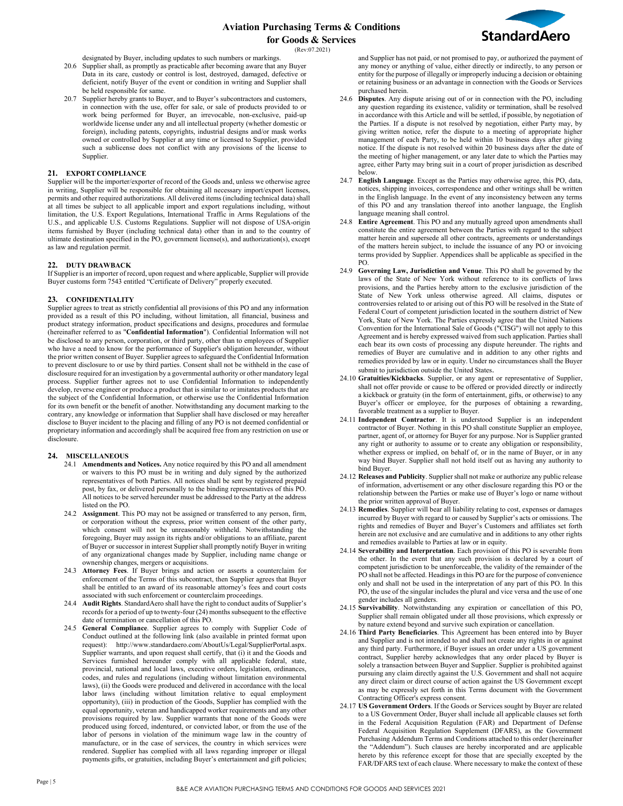

(Rev:07.2021)

designated by Buyer, including updates to such numbers or markings.

- 20.6 Supplier shall, as promptly as practicable after becoming aware that any Buyer Data in its care, custody or control is lost, destroyed, damaged, defective or deficient, notify Buyer of the event or condition in writing and Supplier shall be held responsible for same.
- 20.7 Supplier hereby grants to Buyer, and to Buyer's subcontractors and customers, in connection with the use, offer for sale, or sale of products provided to or work being performed for Buyer, an irrevocable, non-exclusive, paid-up worldwide license under any and all intellectual property (whether domestic or foreign), including patents, copyrights, industrial designs and/or mask works owned or controlled by Supplier at any time or licensed to Supplier, provided such a sublicense does not conflict with any provisions of the license to Supplier.

### **21. EXPORT COMPLIANCE**

Supplier will be the importer/exporter of record of the Goods and, unless we otherwise agree in writing, Supplier will be responsible for obtaining all necessary import/export licenses, permits and other required authorizations. All delivered items (including technical data) shall at all times be subject to all applicable import and export regulations including, without limitation, the U.S. Export Regulations, International Traffic in Arms Regulations of the U.S., and applicable U.S. Customs Regulations. Supplier will not dispose of USA-origin items furnished by Buyer (including technical data) other than in and to the country of ultimate destination specified in the PO, government license(s), and authorization(s), except as law and regulation permit.

## **22. DUTY DRAWBACK**

If Supplier is an importer of record, upon request and where applicable, Supplier will provide Buyer customs form 7543 entitled "Certificate of Delivery" properly executed.

### **23. CONFIDENTIALITY**

Supplier agrees to treat as strictly confidential all provisions of this PO and any information provided as a result of this PO including, without limitation, all financial, business and product strategy information, product specifications and designs, procedures and formulae (hereinafter referred to as "**Confidential Information**"). Confidential Information will not be disclosed to any person, corporation, or third party, other than to employees of Supplier who have a need to know for the performance of Supplier's obligation hereunder, without the prior written consent of Buyer. Supplier agrees to safeguard the Confidential Information to prevent disclosure to or use by third parties. Consent shall not be withheld in the case of disclosure required for an investigation by a governmental authority or other mandatory legal process. Supplier further agrees not to use Confidential Information to independently develop, reverse engineer or produce a product that is similar to or imitates products that are the subject of the Confidential Information, or otherwise use the Confidential Information for its own benefit or the benefit of another. Notwithstanding any document marking to the contrary, any knowledge or information that Supplier shall have disclosed or may hereafter disclose to Buyer incident to the placing and filling of any PO is not deemed confidential or proprietary information and accordingly shall be acquired free from any restriction on use or disclosure.

### **24. MISCELLANEOUS**

- 24.1 **Amendments and Notices.** Any notice required by this PO and all amendment or waivers to this PO must be in writing and duly signed by the authorized representatives of both Parties. All notices shall be sent by registered prepaid post, by fax, or delivered personally to the binding representatives of this PO. All notices to be served hereunder must be addressed to the Party at the address listed on the PO.
- 24.2 **Assignment**. This PO may not be assigned or transferred to any person, firm, or corporation without the express, prior written consent of the other party, which consent will not be unreasonably withheld. Notwithstanding the foregoing, Buyer may assign its rights and/or obligations to an affiliate, parent of Buyer or successor in interest Supplier shall promptly notify Buyer in writing of any organizational changes made by Supplier, including name change or ownership changes, mergers or acquisitions.
- 24.3 **Attorney Fees**. If Buyer brings and action or asserts a counterclaim for enforcement of the Terms of this subcontract, then Supplier agrees that Buyer shall be entitled to an award of its reasonable attorney's fees and court costs associated with such enforcement or counterclaim proceedings.
- 24.4 **Audit Rights**. StandardAero shall have the right to conduct audits of Supplier's records for a period of up to twenty-four (24) months subsequent to the effective date of termination or cancellation of this PO.
- 24.5 **General Compliance**. Supplier agrees to comply with Supplier Code of Conduct outlined at the following link (also available in printed format upon request): [http://www.standardaero.com/AboutUs/Legal/SupplierPortal.aspx.](http://www.standardaero.com/AboutUs/Legal/SupplierPortal.aspx) Supplier warrants, and upon request shall certify, that (i) it and the Goods and Services furnished hereunder comply with all applicable federal, state, provincial, national and local laws, executive orders, legislation, ordinances, codes, and rules and regulations (including without limitation environmental laws), (ii) the Goods were produced and delivered in accordance with the local labor laws (including without limitation relative to equal employment opportunity), (iii) in production of the Goods, Supplier has complied with the equal opportunity, veteran and handicapped worker requirements and any other provisions required by law. Supplier warrants that none of the Goods were produced using forced, indentured, or convicted labor, or from the use of the labor of persons in violation of the minimum wage law in the country of manufacture, or in the case of services, the country in which services were rendered. Supplier has complied with all laws regarding improper or illegal payments gifts, or gratuities, including Buyer's entertainment and gift policies;

and Supplier has not paid, or not promised to pay, or authorized the payment of any money or anything of value, either directly or indirectly, to any person or entity for the purpose of illegally or improperly inducing a decision or obtaining or retaining business or an advantage in connection with the Goods or Services purchased herein.

- 24.6 **Disputes**. Any dispute arising out of or in connection with the PO, including any question regarding its existence, validity or termination, shall be resolved in accordance with this Article and will be settled, if possible, by negotiation of the Parties. If a dispute is not resolved by negotiation, either Party may, by giving written notice, refer the dispute to a meeting of appropriate higher management of each Party, to be held within 10 business days after giving notice. If the dispute is not resolved within 20 business days after the date of the meeting of higher management, or any later date to which the Parties may agree, either Party may bring suit in a court of proper jurisdiction as described below.
- 24.7 **English Language**. Except as the Parties may otherwise agree, this PO, data, notices, shipping invoices, correspondence and other writings shall be written in the English language. In the event of any inconsistency between any terms of this PO and any translation thereof into another language, the English language meaning shall control.
- 24.8 **Entire Agreement**. This PO and any mutually agreed upon amendments shall constitute the entire agreement between the Parties with regard to the subject matter herein and supersede all other contracts, agreements or understandings of the matters herein subject, to include the issuance of any PO or invoicing terms provided by Supplier. Appendices shall be applicable as specified in the PO.
- 24.9 **Governing Law, Jurisdiction and Venue**. This PO shall be governed by the laws of the State of New York without reference to its conflicts of laws provisions, and the Parties hereby attorn to the exclusive jurisdiction of the State of New York unless otherwise agreed. All claims, disputes or controversies related to or arising out of this PO will be resolved in the State of Federal Court of competent jurisdiction located in the southern district of New York, State of New York. The Parties expressly agree that the United Nations Convention for the International Sale of Goods ("CISG") will not apply to this Agreement and is hereby expressed waived from such application. Parties shall each bear its own costs of processing any dispute hereunder. The rights and remedies of Buyer are cumulative and in addition to any other rights and remedies provided by law or in equity. Under no circumstances shall the Buyer submit to jurisdiction outside the United States.
- 24.10 **Gratuities/Kickbacks**. Supplier, or any agent or representative of Supplier, shall not offer provide or cause to be offered or provided directly or indirectly a kickback or gratuity (in the form of entertainment, gifts, or otherwise) to any Buyer's officer or employee, for the purposes of obtaining a rewarding, favorable treatment as a supplier to Buyer.
- 24.11 **Independent Contractor**. It is understood Supplier is an independent contractor of Buyer. Nothing in this PO shall constitute Supplier an employee, partner, agent of, or attorney for Buyer for any purpose. Nor is Supplier granted any right or authority to assume or to create any obligation or responsibility, whether express or implied, on behalf of, or in the name of Buyer, or in any way bind Buyer. Supplier shall not hold itself out as having any authority to bind Buyer.
- 24.12 **Releases and Publicity**. Supplier shall not make or authorize any public release of information, advertisement or any other disclosure regarding this PO or the relationship between the Parties or make use of Buyer's logo or name without the prior written approval of Buyer.
- 24.13 **Remedies**. Supplier will bear all liability relating to cost, expenses or damages incurred by Buyer with regard to or caused by Supplier's acts or omissions. The rights and remedies of Buyer and Buyer's Customers and affiliates set forth herein are not exclusive and are cumulative and in additions to any other rights and remedies available to Parties at law or in equity.
- 24.14 **Severability and Interpretation**. Each provision of this PO is severable from the other. In the event that any such provision is declared by a court of competent jurisdiction to be unenforceable, the validity of the remainder of the PO shall not be affected. Headings in this PO are for the purpose of convenience only and shall not be used in the interpretation of any part of this PO. In this PO, the use of the singular includes the plural and vice versa and the use of one gender includes all genders.
- 24.15 **Survivability**. Notwithstanding any expiration or cancellation of this PO, Supplier shall remain obligated under all those provisions, which expressly or by nature extend beyond and survive such expiration or cancellation.
- 24.16 **Third Party Beneficiaries**. This Agreement has been entered into by Buyer and Supplier and is not intended to and shall not create any rights in or against any third party. Furthermore, if Buyer issues an order under a US government contract, Supplier hereby acknowledges that any order placed by Buyer is solely a transaction between Buyer and Supplier. Supplier is prohibited against pursuing any claim directly against the U.S. Government and shall not acquire any direct claim or direct course of action against the US Government except as may be expressly set forth in this Terms document with the Government Contracting Officer's express consent.
- 24.17 **US Government Orders**. If the Goods or Services sought by Buyer are related to a US Government Order, Buyer shall include all applicable clauses set forth in the Federal Acquisition Regulation (FAR) and Department of Defense Federal Acquisition Regulation Supplement (DFARS), as the Government Purchasing Addendum Terms and Conditions attached to this order (hereinafter the "Addendum"). Such clauses are hereby incorporated and are applicable hereto by this reference except for those that are specially excepted by the FAR/DFARS text of each clause. Where necessary to make the context of these